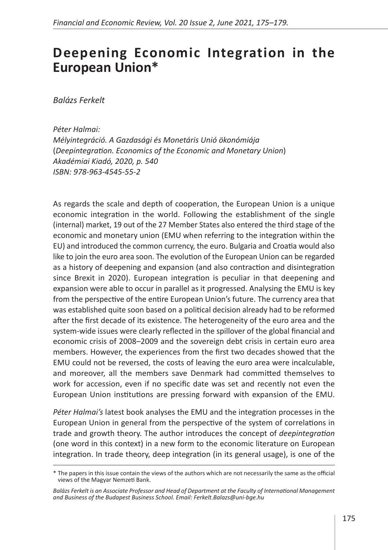## **Deepening Economic Integration in the European Union\***

*Balázs Ferkelt*

*Péter Halmai: Mélyintegráció. A Gazdasági és Monetáris Unió ökonómiája*  (*Deepintegration. Economics of the Economic and Monetary Union*) *Akadémiai Kiadó, 2020, p. 540 ISBN: 978-963-4545-55-2*

As regards the scale and depth of cooperation, the European Union is a unique economic integration in the world. Following the establishment of the single (internal) market, 19 out of the 27 Member States also entered the third stage of the economic and monetary union (EMU when referring to the integration within the EU) and introduced the common currency, the euro. Bulgaria and Croatia would also like to join the euro area soon. The evolution of the European Union can be regarded as a history of deepening and expansion (and also contraction and disintegration since Brexit in 2020). European integration is peculiar in that deepening and expansion were able to occur in parallel as it progressed. Analysing the EMU is key from the perspective of the entire European Union's future. The currency area that was established quite soon based on a political decision already had to be reformed after the first decade of its existence. The heterogeneity of the euro area and the system-wide issues were clearly reflected in the spillover of the global financial and economic crisis of 2008–2009 and the sovereign debt crisis in certain euro area members. However, the experiences from the first two decades showed that the EMU could not be reversed, the costs of leaving the euro area were incalculable, and moreover, all the members save Denmark had committed themselves to work for accession, even if no specific date was set and recently not even the European Union institutions are pressing forward with expansion of the EMU.

*Péter Halmai's* latest book analyses the EMU and the integration processes in the European Union in general from the perspective of the system of correlations in trade and growth theory. The author introduces the concept of *deepintegration* (one word in this context) in a new form to the economic literature on European integration. In trade theory, deep integration (in its general usage), is one of the

<sup>\*</sup> The papers in this issue contain the views of the authors which are not necessarily the same as the official views of the Magyar Nemzeti Bank.

*Balázs Ferkelt is an Associate Professor and Head of Department at the Faculty of International Management and Business of the Budapest Business School. Email: Ferkelt.Balazs@uni-bge.hu*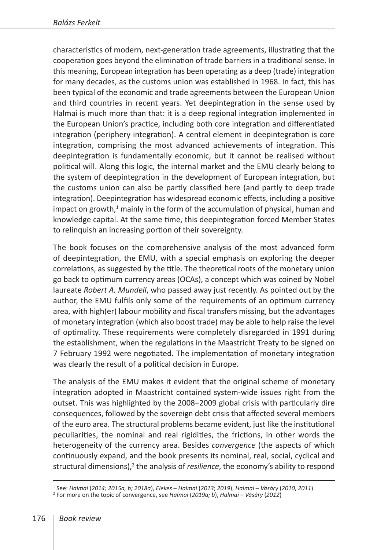characteristics of modern, next-generation trade agreements, illustrating that the cooperation goes beyond the elimination of trade barriers in a traditional sense. In this meaning, European integration has been operating as a deep (trade) integration for many decades, as the customs union was established in 1968. In fact, this has been typical of the economic and trade agreements between the European Union and third countries in recent years. Yet deepintegration in the sense used by Halmai is much more than that: it is a deep regional integration implemented in the European Union's practice, including both core integration and differentiated integration (periphery integration). A central element in deepintegration is core integration, comprising the most advanced achievements of integration. This deepintegration is fundamentally economic, but it cannot be realised without political will. Along this logic, the internal market and the EMU clearly belong to the system of deepintegration in the development of European integration, but the customs union can also be partly classified here (and partly to deep trade integration). Deepintegration has widespread economic effects, including a positive impact on growth,<sup>1</sup> mainly in the form of the accumulation of physical, human and knowledge capital. At the same time, this deepintegration forced Member States to relinquish an increasing portion of their sovereignty.

The book focuses on the comprehensive analysis of the most advanced form of deepintegration, the EMU, with a special emphasis on exploring the deeper correlations, as suggested by the title. The theoretical roots of the monetary union go back to optimum currency areas (OCAs), a concept which was coined by Nobel laureate *Robert A. Mundell*, who passed away just recently. As pointed out by the author, the EMU fulfils only some of the requirements of an optimum currency area, with high(er) labour mobility and fiscal transfers missing, but the advantages of monetary integration (which also boost trade) may be able to help raise the level of optimality. These requirements were completely disregarded in 1991 during the establishment, when the regulations in the Maastricht Treaty to be signed on 7 February 1992 were negotiated. The implementation of monetary integration was clearly the result of a political decision in Europe.

The analysis of the EMU makes it evident that the original scheme of monetary integration adopted in Maastricht contained system-wide issues right from the outset. This was highlighted by the 2008–2009 global crisis with particularly dire consequences, followed by the sovereign debt crisis that affected several members of the euro area. The structural problems became evident, just like the institutional peculiarities, the nominal and real rigidities, the frictions, in other words the heterogeneity of the currency area. Besides *convergence* (the aspects of which continuously expand, and the book presents its nominal, real, social, cyclical and structural dimensions),<sup>2</sup> the analysis of *resilience*, the economy's ability to respond

<sup>&</sup>lt;sup>1</sup> See: Halmai (2014; 2015a, b; 2018a), Elekes – Halmai (2013; 2019), Halmai – Vásáry (2010, 2011)<br><sup>2</sup> For more on the topic of convergence, see Halmai (2019a; b), Halmai – Vásáry (2012)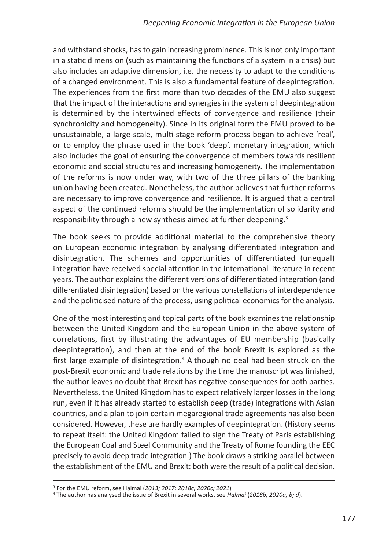and withstand shocks, has to gain increasing prominence. This is not only important in a static dimension (such as maintaining the functions of a system in a crisis) but also includes an adaptive dimension, i.e. the necessity to adapt to the conditions of a changed environment. This is also a fundamental feature of deepintegration. The experiences from the first more than two decades of the EMU also suggest that the impact of the interactions and synergies in the system of deepintegration is determined by the intertwined effects of convergence and resilience (their synchronicity and homogeneity). Since in its original form the EMU proved to be unsustainable, a large‑scale, multi-stage reform process began to achieve 'real', or to employ the phrase used in the book 'deep', monetary integration, which also includes the goal of ensuring the convergence of members towards resilient economic and social structures and increasing homogeneity. The implementation of the reforms is now under way, with two of the three pillars of the banking union having been created. Nonetheless, the author believes that further reforms are necessary to improve convergence and resilience. It is argued that a central aspect of the continued reforms should be the implementation of solidarity and responsibility through a new synthesis aimed at further deepening.<sup>3</sup>

The book seeks to provide additional material to the comprehensive theory on European economic integration by analysing differentiated integration and disintegration. The schemes and opportunities of differentiated (unequal) integration have received special attention in the international literature in recent years. The author explains the different versions of differentiated integration (and differentiated disintegration) based on the various constellations of interdependence and the politicised nature of the process, using political economics for the analysis.

One of the most interesting and topical parts of the book examines the relationship between the United Kingdom and the European Union in the above system of correlations, first by illustrating the advantages of EU membership (basically deepintegration), and then at the end of the book Brexit is explored as the first large example of disintegration.<sup>4</sup> Although no deal had been struck on the post‑Brexit economic and trade relations by the time the manuscript was finished, the author leaves no doubt that Brexit has negative consequences for both parties. Nevertheless, the United Kingdom has to expect relatively larger losses in the long run, even if it has already started to establish deep (trade) integrations with Asian countries, and a plan to join certain megaregional trade agreements has also been considered. However, these are hardly examples of deepintegration. (History seems to repeat itself: the United Kingdom failed to sign the Treaty of Paris establishing the European Coal and Steel Community and the Treaty of Rome founding the EEC precisely to avoid deep trade integration.) The book draws a striking parallel between the establishment of the EMU and Brexit: both were the result of a political decision.

<sup>&</sup>lt;sup>3</sup> For the EMU reform, see Halmai (*2013; 2017; 2018c; 2020c; 2021*)<br><sup>4</sup> The author has analysed the issue of Brexit in several works, see *Halmai* (*2018b; 2020a; b; d*).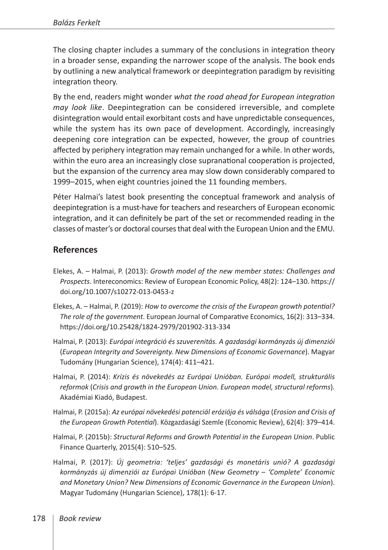The closing chapter includes a summary of the conclusions in integration theory in a broader sense, expanding the narrower scope of the analysis. The book ends by outlining a new analytical framework or deepintegration paradigm by revisiting integration theory.

By the end, readers might wonder *what the road ahead for European integration may look like*. Deepintegration can be considered irreversible, and complete disintegration would entail exorbitant costs and have unpredictable consequences, while the system has its own pace of development. Accordingly, increasingly deepening core integration can be expected, however, the group of countries affected by periphery integration may remain unchanged for a while. In other words, within the euro area an increasingly close supranational cooperation is projected, but the expansion of the currency area may slow down considerably compared to 1999–2015, when eight countries joined the 11 founding members.

Péter Halmai's latest book presenting the conceptual framework and analysis of deepintegration is a must-have for teachers and researchers of European economic integration, and it can definitely be part of the set or recommended reading in the classes of master's or doctoral courses that deal with the European Union and the EMU.

## **References**

- Elekes, A. Halmai, P. (2013): *Growth model of the new member states: Challenges and Prospects*. Intereconomics: Review of European Economic Policy, 48(2): 124–130. [https://](https://doi.org/10.1007/s10272-013-0453-z) [doi.org/10.1007/s10272-013-0453-z](https://doi.org/10.1007/s10272-013-0453-z)
- Elekes, A. Halmai, P. (2019): *How to overcome the crisis of the European growth potential? The role of the government*. European Journal of Comparative Economics, 16(2): 313–334. <https://doi.org/10.25428/1824-2979/201902-313-334>
- Halmai, P. (2013): *Európai integráció és szuverenitás. A gazdasági kormányzás új dimenziói*  (*European Integrity and Sovereignty. New Dimensions of Economic Governance*). Magyar Tudomány (Hungarian Science), 174(4): 411–421.
- Halmai, P. (2014): *Krízis és növekedés az Európai Unióban. Európai modell, strukturális reformok* (*Crisis and growth in the European Union. European model, structural reforms*)*.*  Akadémiai Kiadó, Budapest.
- Halmai, P. (2015a): *Az európai növekedési potenciál eróziója és válsága* (*Erosion and Crisis of the European Growth Potential*). Közgazdasági Szemle (Economic Review), 62(4): 379–414.
- [Halmai](https://m2.mtmt.hu/gui2/?type=authors&mode=browse&sel=10000439), P. (2015b): *Structural Reforms and Growth Potential in the European Union*. Public Finance Quarterly, 2015(4): 510–525.
- Halmai, P. (2017): *Új geometria: ʻteljes' gazdasági és monetáris unió? A gazdasági kormányzás új dimenziói az Európai Unióban* (*New Geometry – 'Complete' Economic and Monetary Union? New Dimensions of Economic Governance in the European Union*). Magyar Tudomány (Hungarian Science), 178(1): 6-17.